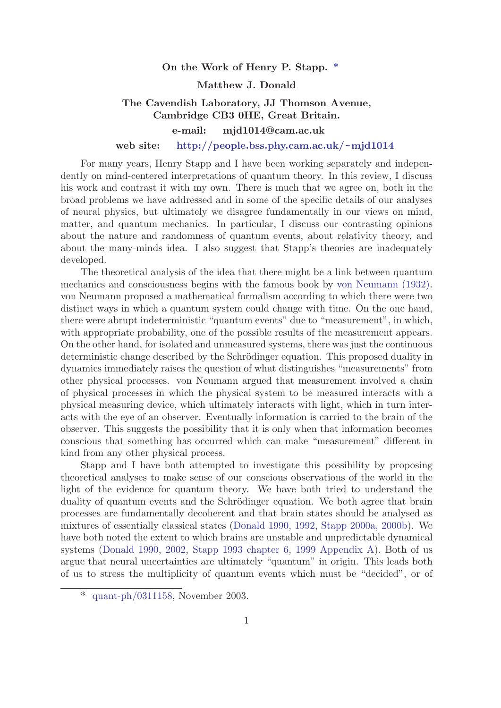#### On the Work of Henry P. Stapp. [\\*](#page-0-0)

#### Matthew J. Donald

# The Cavendish Laboratory, JJ Thomson Avenue, Cambridge CB3 0HE, Great Britain.

## e-mail: mjd1014@cam.ac.uk

web site: [http://people.bss.phy.cam.ac.uk/](http://people.bss.phy.cam.ac.uk/~mjd1014)~mjd1014

For many years, Henry Stapp and I have been working separately and independently on mind-centered interpretations of quantum theory. In this review, I discuss his work and contrast it with my own. There is much that we agree on, both in the broad problems we have addressed and in some of the specific details of our analyses of neural physics, but ultimately we disagree fundamentally in our views on mind, matter, and quantum mechanics. In particular, I discuss our contrasting opinions about the nature and randomness of quantum events, about relativity theory, and about the many-minds idea. I also suggest that Stapp's theories are inadequately developed.

The theoretical analysis of the idea that there might be a link between quantum mechanics and consciousness begins with the famous book by [von Neumann \(1932\).](#page-11-0) von Neumann proposed a mathematical formalism according to which there were two distinct ways in which a quantum system could change with time. On the one hand, there were abrupt indeterministic "quantum events" due to "measurement", in which, with appropriate probability, one of the possible results of the measurement appears. On the other hand, for isolated and unmeasured systems, there was just the continuous deterministic change described by the Schrödinger equation. This proposed duality in dynamics immediately raises the question of what distinguishes "measurements" from other physical processes. von Neumann argued that measurement involved a chain of physical processes in which the physical system to be measured interacts with a physical measuring device, which ultimately interacts with light, which in turn interacts with the eye of an observer. Eventually information is carried to the brain of the observer. This suggests the possibility that it is only when that information becomes conscious that something has occurred which can make "measurement" different in kind from any other physical process.

<span id="page-0-0"></span>Stapp and I have both attempted to investigate this possibility by proposing theoretical analyses to make sense of our conscious observations of the world in the light of the evidence for quantum theory. We have both tried to understand the duality of quantum events and the Schrödinger equation. We both agree that brain processes are fundamentally decoherent and that brain states should be analysed as mixtures of essentially classical states [\(Donald 1990](#page-10-0), [1992](#page-11-1), [Stapp 2000a, 2000b](#page-12-0)). We have both noted the extent to which brains are unstable and unpredictable dynamical systems ([Donald 1990](#page-10-0), [2002,](#page-11-1) [Stapp 1993 chapter 6](#page-12-0), [1999 Appendix A\)](#page-12-0). Both of us argue that neural uncertainties are ultimately "quantum" in origin. This leads both of us to stress the multiplicity of quantum events which must be "decided", or of

<sup>\*</sup> [quant-ph/0311158,](http://arXiv.org/abs/quant-ph/0311158) November 2003.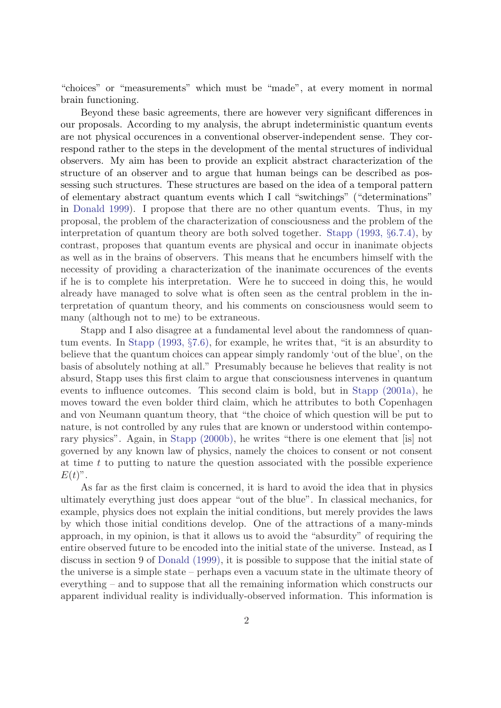"choices" or "measurements" which must be "made", at every moment in normal brain functioning.

Beyond these basic agreements, there are however very significant differences in our proposals. According to my analysis, the abrupt indeterministic quantum events are not physical occurences in a conventional observer-independent sense. They correspond rather to the steps in the development of the mental structures of individual observers. My aim has been to provide an explicit abstract characterization of the structure of an observer and to argue that human beings can be described as possessing such structures. These structures are based on the idea of a temporal pattern of elementary abstract quantum events which I call "switchings" ("determinations" in [Donald 1999](#page-11-1)). I propose that there are no other quantum events. Thus, in my proposal, the problem of the characterization of consciousness and the problem of the interpretation of quantum theory are both solved together. [Stapp \(1993,](#page-12-0) §6.7.4), by contrast, proposes that quantum events are physical and occur in inanimate objects as well as in the brains of observers. This means that he encumbers himself with the necessity of providing a characterization of the inanimate occurences of the events if he is to complete his interpretation. Were he to succeed in doing this, he would already have managed to solve what is often seen as the central problem in the interpretation of quantum theory, and his comments on consciousness would seem to many (although not to me) to be extraneous.

Stapp and I also disagree at a fundamental level about the randomness of quantum events. In [Stapp \(1993,](#page-12-0) §7.6), for example, he writes that, "it is an absurdity to believe that the quantum choices can appear simply randomly 'out of the blue', on the basis of absolutely nothing at all." Presumably because he believes that reality is not absurd, Stapp uses this first claim to argue that consciousness intervenes in quantum events to influence outcomes. This second claim is bold, but in [Stapp \(2001a\),](#page-12-1) he moves toward the even bolder third claim, which he attributes to both Copenhagen and von Neumann quantum theory, that "the choice of which question will be put to nature, is not controlled by any rules that are known or understood within contemporary physics". Again, in [Stapp \(2000b\)](#page-12-0), he writes "there is one element that [is] not governed by any known law of physics, namely the choices to consent or not consent at time  $t$  to putting to nature the question associated with the possible experience  $E(t)$ ".

As far as the first claim is concerned, it is hard to avoid the idea that in physics ultimately everything just does appear "out of the blue". In classical mechanics, for example, physics does not explain the initial conditions, but merely provides the laws by which those initial conditions develop. One of the attractions of a many-minds approach, in my opinion, is that it allows us to avoid the "absurdity" of requiring the entire observed future to be encoded into the initial state of the universe. Instead, as I discuss in section 9 of [Donald \(1999\)](#page-11-1), it is possible to suppose that the initial state of the universe is a simple state – perhaps even a vacuum state in the ultimate theory of everything – and to suppose that all the remaining information which constructs our apparent individual reality is individually-observed information. This information is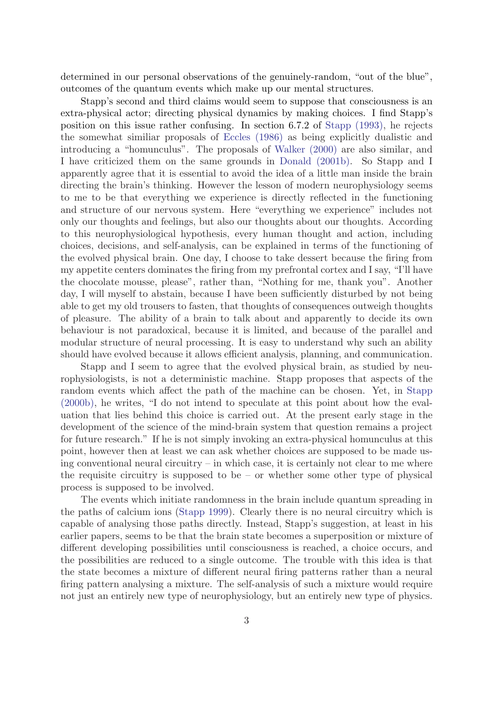determined in our personal observations of the genuinely-random, "out of the blue", outcomes of the quantum events which make up our mental structures.

Stapp's second and third claims would seem to suppose that consciousness is an extra-physical actor; directing physical dynamics by making choices. I find Stapp's position on this issue rather confusing. In section 6.7.2 of [Stapp \(1993\)](#page-12-0), he rejects the somewhat similiar proposals of [Eccles \(1986\)](#page-11-1) as being explicitly dualistic and introducing a "homunculus". The proposals of [Walker \(2000\)](#page-12-2) are also similar, and I have criticized them on the same grounds in [Donald \(2001b\).](#page-11-1) So Stapp and I apparently agree that it is essential to avoid the idea of a little man inside the brain directing the brain's thinking. However the lesson of modern neurophysiology seems to me to be that everything we experience is directly reflected in the functioning and structure of our nervous system. Here "everything we experience" includes not only our thoughts and feelings, but also our thoughts about our thoughts. According to this neurophysiological hypothesis, every human thought and action, including choices, decisions, and self-analysis, can be explained in terms of the functioning of the evolved physical brain. One day, I choose to take dessert because the firing from my appetite centers dominates the firing from my prefrontal cortex and I say, "I'll have the chocolate mousse, please", rather than, "Nothing for me, thank you". Another day, I will myself to abstain, because I have been sufficiently disturbed by not being able to get my old trousers to fasten, that thoughts of consequences outweigh thoughts of pleasure. The ability of a brain to talk about and apparently to decide its own behaviour is not paradoxical, because it is limited, and because of the parallel and modular structure of neural processing. It is easy to understand why such an ability should have evolved because it allows efficient analysis, planning, and communication.

Stapp and I seem to agree that the evolved physical brain, as studied by neurophysiologists, is not a deterministic machine. Stapp proposes that aspects of the random events which affect the path of the machine can be chosen. Yet, in [Stapp](#page-12-0) [\(2000b\),](#page-12-0) he writes, "I do not intend to speculate at this point about how the evaluation that lies behind this choice is carried out. At the present early stage in the development of the science of the mind-brain system that question remains a project for future research." If he is not simply invoking an extra-physical homunculus at this point, however then at least we can ask whether choices are supposed to be made using conventional neural circuitry – in which case, it is certainly not clear to me where the requisite circuitry is supposed to be – or whether some other type of physical process is supposed to be involved.

The events which initiate randomness in the brain include quantum spreading in the paths of calcium ions ([Stapp 1999](#page-12-0)). Clearly there is no neural circuitry which is capable of analysing those paths directly. Instead, Stapp's suggestion, at least in his earlier papers, seems to be that the brain state becomes a superposition or mixture of different developing possibilities until consciousness is reached, a choice occurs, and the possibilities are reduced to a single outcome. The trouble with this idea is that the state becomes a mixture of different neural firing patterns rather than a neural firing pattern analysing a mixture. The self-analysis of such a mixture would require not just an entirely new type of neurophysiology, but an entirely new type of physics.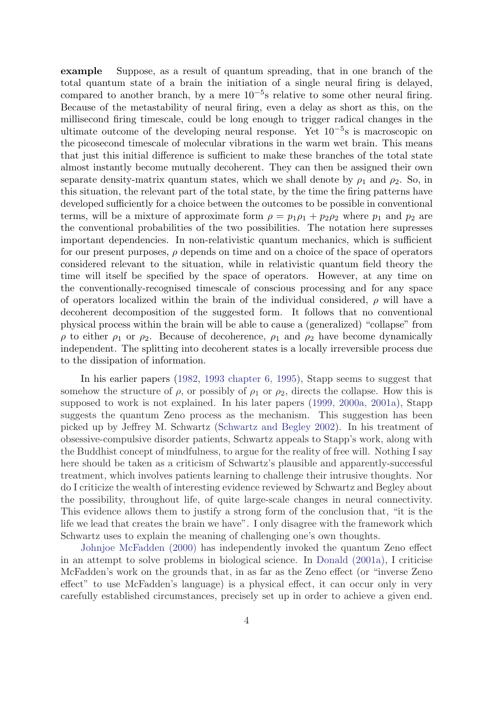example Suppose, as a result of quantum spreading, that in one branch of the total quantum state of a brain the initiation of a single neural firing is delayed, compared to another branch, by a mere  $10^{-5}$ s relative to some other neural firing. Because of the metastability of neural firing, even a delay as short as this, on the millisecond firing timescale, could be long enough to trigger radical changes in the ultimate outcome of the developing neural response. Yet  $10^{-5}$ s is macroscopic on the picosecond timescale of molecular vibrations in the warm wet brain. This means that just this initial difference is sufficient to make these branches of the total state almost instantly become mutually decoherent. They can then be assigned their own separate density-matrix quantum states, which we shall denote by  $\rho_1$  and  $\rho_2$ . So, in this situation, the relevant part of the total state, by the time the firing patterns have developed sufficiently for a choice between the outcomes to be possible in conventional terms, will be a mixture of approximate form  $\rho = p_1 \rho_1 + p_2 \rho_2$  where  $p_1$  and  $p_2$  are the conventional probabilities of the two possibilities. The notation here supresses important dependencies. In non-relativistic quantum mechanics, which is sufficient for our present purposes,  $\rho$  depends on time and on a choice of the space of operators considered relevant to the situation, while in relativistic quantum field theory the time will itself be specified by the space of operators. However, at any time on the conventionally-recognised timescale of conscious processing and for any space of operators localized within the brain of the individual considered,  $\rho$  will have a decoherent decomposition of the suggested form. It follows that no conventional physical process within the brain will be able to cause a (generalized) "collapse" from  $\rho$  to either  $\rho_1$  or  $\rho_2$ . Because of decoherence,  $\rho_1$  and  $\rho_2$  have become dynamically independent. The splitting into decoherent states is a locally irreversible process due to the dissipation of information.

In his earlier papers ([1982,](#page-12-0) [1993 chapter 6, 1995\)](#page-12-0), Stapp seems to suggest that somehow the structure of  $\rho$ , or possibly of  $\rho_1$  or  $\rho_2$ , directs the collapse. How this is supposed to work is not explained. In his later papers ([1999, 2000a,](#page-12-0) [2001a\)](#page-12-1), Stapp suggests the quantum Zeno process as the mechanism. This suggestion has been picked up by Jeffrey M. Schwartz [\(Schwartz and Begley 2002](#page-11-0)). In his treatment of obsessive-compulsive disorder patients, Schwartz appeals to Stapp's work, along with the Buddhist concept of mindfulness, to argue for the reality of free will. Nothing I say here should be taken as a criticism of Schwartz's plausible and apparently-successful treatment, which involves patients learning to challenge their intrusive thoughts. Nor do I criticize the wealth of interesting evidence reviewed by Schwartz and Begley about the possibility, throughout life, of quite large-scale changes in neural connectivity. This evidence allows them to justify a strong form of the conclusion that, "it is the life we lead that creates the brain we have". I only disagree with the framework which Schwartz uses to explain the meaning of challenging one's own thoughts.

[Johnjoe McFadden \(2000\)](#page-11-2) has independently invoked the quantum Zeno effect in an attempt to solve problems in biological science. In [Donald \(2001a\),](#page-11-1) I criticise McFadden's work on the grounds that, in as far as the Zeno effect (or "inverse Zeno effect" to use McFadden's language) is a physical effect, it can occur only in very carefully established circumstances, precisely set up in order to achieve a given end.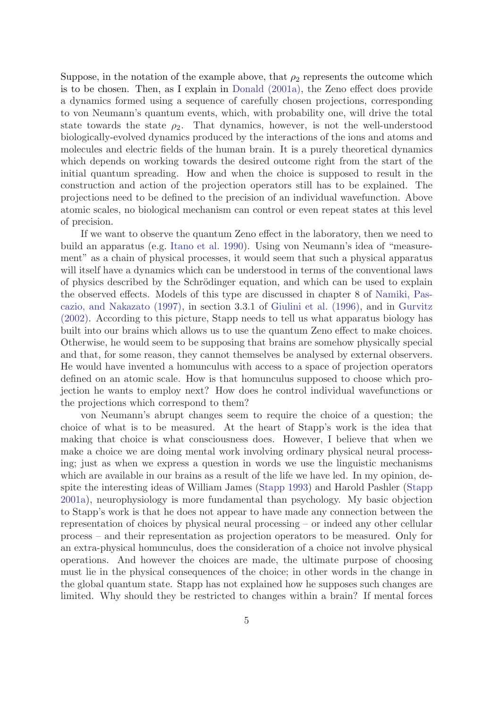Suppose, in the notation of the example above, that  $\rho_2$  represents the outcome which is to be chosen. Then, as I explain in [Donald \(2001a\),](#page-11-1) the Zeno effect does provide a dynamics formed using a sequence of carefully chosen projections, corresponding to von Neumann's quantum events, which, with probability one, will drive the total state towards the state  $\rho_2$ . That dynamics, however, is not the well-understood biologically-evolved dynamics produced by the interactions of the ions and atoms and molecules and electric fields of the human brain. It is a purely theoretical dynamics which depends on working towards the desired outcome right from the start of the initial quantum spreading. How and when the choice is supposed to result in the construction and action of the projection operators still has to be explained. The projections need to be defined to the precision of an individual wavefunction. Above atomic scales, no biological mechanism can control or even repeat states at this level of precision.

If we want to observe the quantum Zeno effect in the laboratory, then we need to build an apparatus (e.g. [Itano et al. 1990](#page-11-2)). Using von Neumann's idea of "measurement" as a chain of physical processes, it would seem that such a physical apparatus will itself have a dynamics which can be understood in terms of the conventional laws of physics described by the Schrödinger equation, and which can be used to explain the observed effects. Models of this type are discussed in chapter 8 of [Namiki, Pas](#page-11-2)[cazio, and Nakazato \(1997\),](#page-11-2) in section 3.3.1 of [Giulini et al. \(1996\),](#page-11-2) and in [Gurvitz](#page-11-2) [\(2002\)](#page-11-2). According to this picture, Stapp needs to tell us what apparatus biology has built into our brains which allows us to use the quantum Zeno effect to make choices. Otherwise, he would seem to be supposing that brains are somehow physically special and that, for some reason, they cannot themselves be analysed by external observers. He would have invented a homunculus with access to a space of projection operators defined on an atomic scale. How is that homunculus supposed to choose which projection he wants to employ next? How does he control individual wavefunctions or the projections which correspond to them?

von Neumann's abrupt changes seem to require the choice of a question; the choice of what is to be measured. At the heart of Stapp's work is the idea that making that choice is what consciousness does. However, I believe that when we make a choice we are doing mental work involving ordinary physical neural processing; just as when we express a question in words we use the linguistic mechanisms which are available in our brains as a result of the life we have led. In my opinion, despite the interesting ideas of William James ([Stapp 1993](#page-12-0)) and Harold Pashler ([Stapp](#page-12-1) [2001a\)](#page-12-1), neurophysiology is more fundamental than psychology. My basic objection to Stapp's work is that he does not appear to have made any connection between the representation of choices by physical neural processing – or indeed any other cellular process – and their representation as projection operators to be measured. Only for an extra-physical homunculus, does the consideration of a choice not involve physical operations. And however the choices are made, the ultimate purpose of choosing must lie in the physical consequences of the choice; in other words in the change in the global quantum state. Stapp has not explained how he supposes such changes are limited. Why should they be restricted to changes within a brain? If mental forces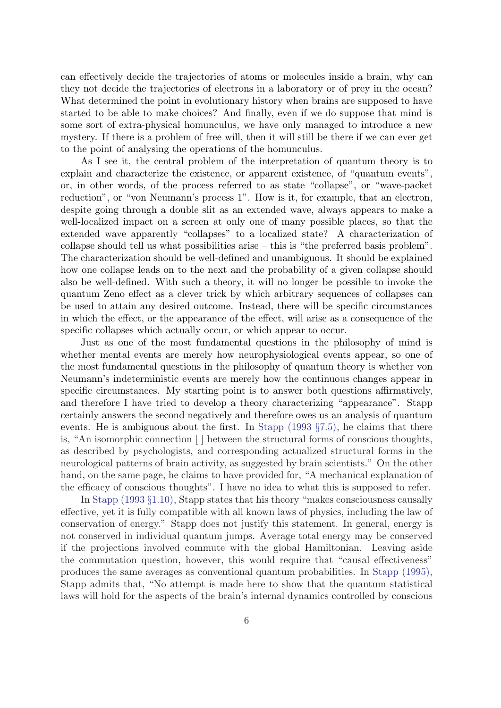can effectively decide the trajectories of atoms or molecules inside a brain, why can they not decide the trajectories of electrons in a laboratory or of prey in the ocean? What determined the point in evolutionary history when brains are supposed to have started to be able to make choices? And finally, even if we do suppose that mind is some sort of extra-physical homunculus, we have only managed to introduce a new mystery. If there is a problem of free will, then it will still be there if we can ever get to the point of analysing the operations of the homunculus.

As I see it, the central problem of the interpretation of quantum theory is to explain and characterize the existence, or apparent existence, of "quantum events", or, in other words, of the process referred to as state "collapse", or "wave-packet reduction", or "von Neumann's process 1". How is it, for example, that an electron, despite going through a double slit as an extended wave, always appears to make a well-localized impact on a screen at only one of many possible places, so that the extended wave apparently "collapses" to a localized state? A characterization of collapse should tell us what possibilities arise – this is "the preferred basis problem". The characterization should be well-defined and unambiguous. It should be explained how one collapse leads on to the next and the probability of a given collapse should also be well-defined. With such a theory, it will no longer be possible to invoke the quantum Zeno effect as a clever trick by which arbitrary sequences of collapses can be used to attain any desired outcome. Instead, there will be specific circumstances in which the effect, or the appearance of the effect, will arise as a consequence of the specific collapses which actually occur, or which appear to occur.

Just as one of the most fundamental questions in the philosophy of mind is whether mental events are merely how neurophysiological events appear, so one of the most fundamental questions in the philosophy of quantum theory is whether von Neumann's indeterministic events are merely how the continuous changes appear in specific circumstances. My starting point is to answer both questions affirmatively, and therefore I have tried to develop a theory characterizing "appearance". Stapp certainly answers the second negatively and therefore owes us an analysis of quantum events. He is ambiguous about the first. In [Stapp \(1993](#page-12-0) §7.5), he claims that there is, "An isomorphic connection [ ] between the structural forms of conscious thoughts, as described by psychologists, and corresponding actualized structural forms in the neurological patterns of brain activity, as suggested by brain scientists." On the other hand, on the same page, he claims to have provided for, "A mechanical explanation of the efficacy of conscious thoughts". I have no idea to what this is supposed to refer.

In [Stapp \(1993](#page-12-0) §1.10), Stapp states that his theory "makes consciousness causally effective, yet it is fully compatible with all known laws of physics, including the law of conservation of energy." Stapp does not justify this statement. In general, energy is not conserved in individual quantum jumps. Average total energy may be conserved if the projections involved commute with the global Hamiltonian. Leaving aside the commutation question, however, this would require that "causal effectiveness" produces the same averages as conventional quantum probabilities. In [Stapp \(1995\),](#page-12-0) Stapp admits that, "No attempt is made here to show that the quantum statistical laws will hold for the aspects of the brain's internal dynamics controlled by conscious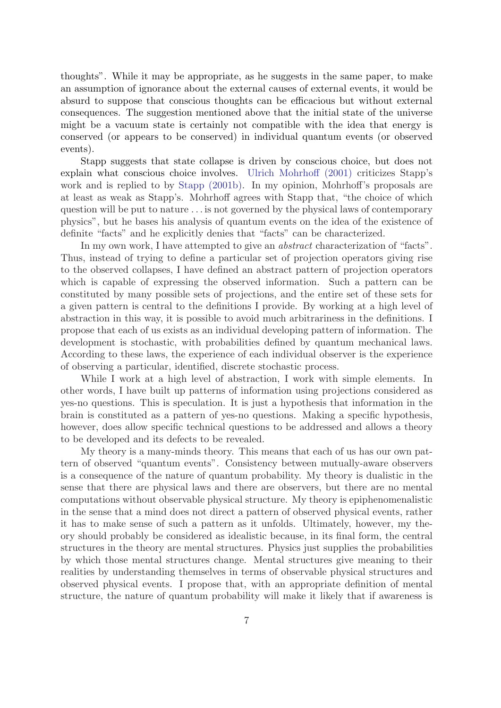thoughts". While it may be appropriate, as he suggests in the same paper, to make an assumption of ignorance about the external causes of external events, it would be absurd to suppose that conscious thoughts can be efficacious but without external consequences. The suggestion mentioned above that the initial state of the universe might be a vacuum state is certainly not compatible with the idea that energy is conserved (or appears to be conserved) in individual quantum events (or observed events).

Stapp suggests that state collapse is driven by conscious choice, but does not explain what conscious choice involves. [Ulrich Mohrhoff \(2001\)](#page-11-2) criticizes Stapp's work and is replied to by [Stapp \(2001b\).](#page-12-1) In my opinion, Mohrhoff's proposals are at least as weak as Stapp's. Mohrhoff agrees with Stapp that, "the choice of which question will be put to nature . . . is not governed by the physical laws of contemporary physics", but he bases his analysis of quantum events on the idea of the existence of definite "facts" and he explicitly denies that "facts" can be characterized.

In my own work, I have attempted to give an abstract characterization of "facts". Thus, instead of trying to define a particular set of projection operators giving rise to the observed collapses, I have defined an abstract pattern of projection operators which is capable of expressing the observed information. Such a pattern can be constituted by many possible sets of projections, and the entire set of these sets for a given pattern is central to the definitions I provide. By working at a high level of abstraction in this way, it is possible to avoid much arbitrariness in the definitions. I propose that each of us exists as an individual developing pattern of information. The development is stochastic, with probabilities defined by quantum mechanical laws. According to these laws, the experience of each individual observer is the experience of observing a particular, identified, discrete stochastic process.

While I work at a high level of abstraction, I work with simple elements. In other words, I have built up patterns of information using projections considered as yes-no questions. This is speculation. It is just a hypothesis that information in the brain is constituted as a pattern of yes-no questions. Making a specific hypothesis, however, does allow specific technical questions to be addressed and allows a theory to be developed and its defects to be revealed.

My theory is a many-minds theory. This means that each of us has our own pattern of observed "quantum events". Consistency between mutually-aware observers is a consequence of the nature of quantum probability. My theory is dualistic in the sense that there are physical laws and there are observers, but there are no mental computations without observable physical structure. My theory is epiphenomenalistic in the sense that a mind does not direct a pattern of observed physical events, rather it has to make sense of such a pattern as it unfolds. Ultimately, however, my theory should probably be considered as idealistic because, in its final form, the central structures in the theory are mental structures. Physics just supplies the probabilities by which those mental structures change. Mental structures give meaning to their realities by understanding themselves in terms of observable physical structures and observed physical events. I propose that, with an appropriate definition of mental structure, the nature of quantum probability will make it likely that if awareness is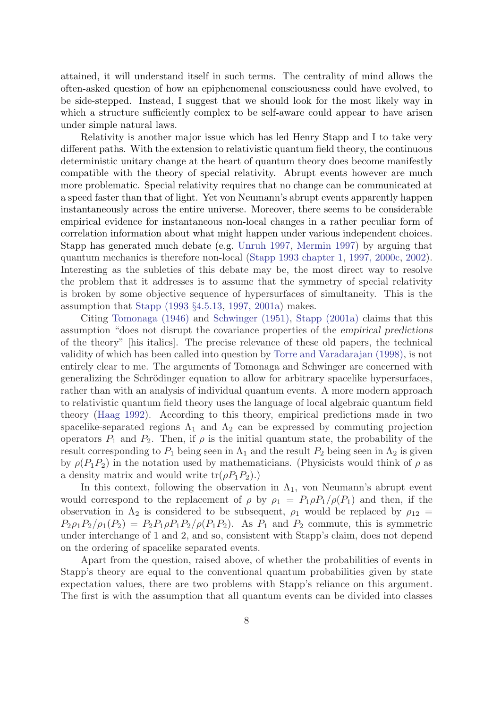attained, it will understand itself in such terms. The centrality of mind allows the often-asked question of how an epiphenomenal consciousness could have evolved, to be side-stepped. Instead, I suggest that we should look for the most likely way in which a structure sufficiently complex to be self-aware could appear to have arisen under simple natural laws.

Relativity is another major issue which has led Henry Stapp and I to take very different paths. With the extension to relativistic quantum field theory, the continuous deterministic unitary change at the heart of quantum theory does become manifestly compatible with the theory of special relativity. Abrupt events however are much more problematic. Special relativity requires that no change can be communicated at a speed faster than that of light. Yet von Neumann's abrupt events apparently happen instantaneously across the entire universe. Moreover, there seems to be considerable empirical evidence for instantaneous non-local changes in a rather peculiar form of correlation information about what might happen under various independent choices. Stapp has generated much debate (e.g. [Unruh 1997,](#page-12-2) [Mermin 1997](#page-11-2)) by arguing that quantum mechanics is therefore non-local ([Stapp 1993 chapter 1,](#page-12-0) [1997, 2000c](#page-12-0), [2002](#page-12-1)). Interesting as the subleties of this debate may be, the most direct way to resolve the problem that it addresses is to assume that the symmetry of special relativity is broken by some objective sequence of hypersurfaces of simultaneity. This is the assumption that [Stapp \(1993](#page-12-0) §4.5.13, [1997,](#page-12-0) [2001a](#page-12-1)) makes.

Citing [Tomonaga \(1946\)](#page-12-2) and [Schwinger \(1951\),](#page-12-0) [Stapp \(2001a\)](#page-12-1) claims that this assumption "does not disrupt the covariance properties of the empirical predictions of the theory" [his italics]. The precise relevance of these old papers, the technical validity of which has been called into question by [Torre and Varadarajan \(1998\)](#page-12-2), is not entirely clear to me. The arguments of Tomonaga and Schwinger are concerned with generalizing the Schrödinger equation to allow for arbitrary spacelike hypersurfaces, rather than with an analysis of individual quantum events. A more modern approach to relativistic quantum field theory uses the language of local algebraic quantum field theory ([Haag 1992\)](#page-11-2). According to this theory, empirical predictions made in two spacelike-separated regions  $\Lambda_1$  and  $\Lambda_2$  can be expressed by commuting projection operators  $P_1$  and  $P_2$ . Then, if  $\rho$  is the initial quantum state, the probability of the result corresponding to  $P_1$  being seen in  $\Lambda_1$  and the result  $P_2$  being seen in  $\Lambda_2$  is given by  $\rho(P_1P_2)$  in the notation used by mathematicians. (Physicists would think of  $\rho$  as a density matrix and would write  $tr(\rho P_1 P_2)$ .

In this context, following the observation in  $\Lambda_1$ , von Neumann's abrupt event would correspond to the replacement of  $\rho$  by  $\rho_1 = P_1 \rho P_1 / \rho(P_1)$  and then, if the observation in  $\Lambda_2$  is considered to be subsequent,  $\rho_1$  would be replaced by  $\rho_{12}$  =  $P_2\rho_1P_2/\rho_1(P_2) = P_2P_1\rho_1P_2/\rho(P_1P_2)$ . As  $P_1$  and  $P_2$  commute, this is symmetric under interchange of 1 and 2, and so, consistent with Stapp's claim, does not depend on the ordering of spacelike separated events.

Apart from the question, raised above, of whether the probabilities of events in Stapp's theory are equal to the conventional quantum probabilities given by state expectation values, there are two problems with Stapp's reliance on this argument. The first is with the assumption that all quantum events can be divided into classes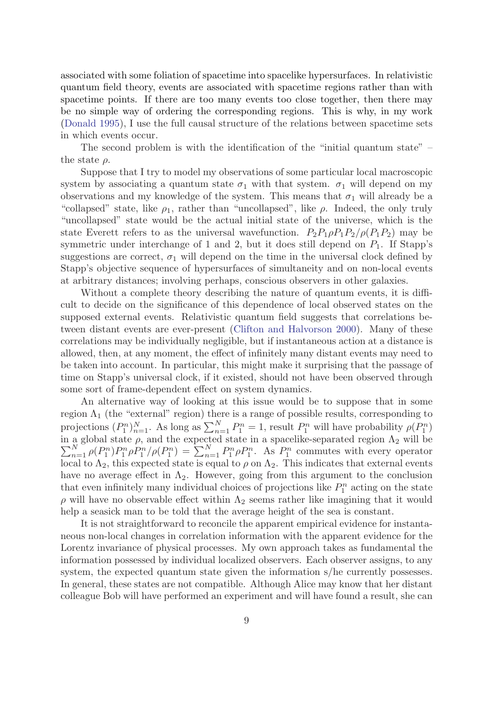associated with some foliation of spacetime into spacelike hypersurfaces. In relativistic quantum field theory, events are associated with spacetime regions rather than with spacetime points. If there are too many events too close together, then there may be no simple way of ordering the corresponding regions. This is why, in my work ([Donald 1995](#page-11-1)), I use the full causal structure of the relations between spacetime sets in which events occur.

The second problem is with the identification of the "initial quantum state" – the state  $\rho$ .

Suppose that I try to model my observations of some particular local macroscopic system by associating a quantum state  $\sigma_1$  with that system.  $\sigma_1$  will depend on my observations and my knowledge of the system. This means that  $\sigma_1$  will already be a "collapsed" state, like  $\rho_1$ , rather than "uncollapsed", like  $\rho$ . Indeed, the only truly "uncollapsed" state would be the actual initial state of the universe, which is the state Everett refers to as the universal wavefunction.  $P_2P_1\rho P_1P_2/\rho(P_1P_2)$  may be symmetric under interchange of 1 and 2, but it does still depend on  $P_1$ . If Stapp's suggestions are correct,  $\sigma_1$  will depend on the time in the universal clock defined by Stapp's objective sequence of hypersurfaces of simultaneity and on non-local events at arbitrary distances; involving perhaps, conscious observers in other galaxies.

Without a complete theory describing the nature of quantum events, it is difficult to decide on the significance of this dependence of local observed states on the supposed external events. Relativistic quantum field suggests that correlations between distant events are ever-present ([Clifton and Halvorson 2000](#page-10-0)). Many of these correlations may be individually negligible, but if instantaneous action at a distance is allowed, then, at any moment, the effect of infinitely many distant events may need to be taken into account. In particular, this might make it surprising that the passage of time on Stapp's universal clock, if it existed, should not have been observed through some sort of frame-dependent effect on system dynamics.

An alternative way of looking at this issue would be to suppose that in some region  $\Lambda_1$  (the "external" region) there is a range of possible results, corresponding to projections  $(P_1^n)_{n=1}^N$ . As long as  $\sum_{n=1}^N P_1^n = 1$ , result  $P_1^n$  will have probability  $\rho(P_1^n)$ in a global state  $\sum$ a global state  $\rho$ , and the expected state in a spacelike-separated region  $\Lambda_2$  will be  $\frac{N}{n-1} \rho(P_1^n) P_1^n \rho P_1^n / \rho(P_1^n) = \sum_{n=1}^N P_1^n \rho P_1^n$ . As  $P_1^n$  commutes with every operator local to  $\Lambda_2$ , this expected state is equal to  $\rho$  on  $\Lambda_2$ . This indicates that external events have no average effect in  $\Lambda_2$ . However, going from this argument to the conclusion that even infinitely many individual choices of projections like  $P_1^n$  acting on the state  $\rho$  will have no observable effect within  $\Lambda_2$  seems rather like imagining that it would help a seasick man to be told that the average height of the sea is constant.

It is not straightforward to reconcile the apparent empirical evidence for instantaneous non-local changes in correlation information with the apparent evidence for the Lorentz invariance of physical processes. My own approach takes as fundamental the information possessed by individual localized observers. Each observer assigns, to any system, the expected quantum state given the information s/he currently possesses. In general, these states are not compatible. Although Alice may know that her distant colleague Bob will have performed an experiment and will have found a result, she can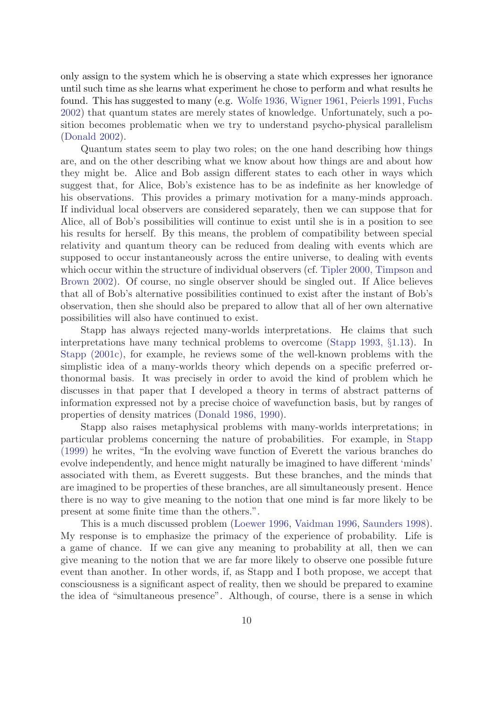only assign to the system which he is observing a state which expresses her ignorance until such time as she learns what experiment he chose to perform and what results he found. This has suggested to many (e.g. [Wolfe 1936, Wigner 1961](#page-12-2), [Peierls 1991,](#page-11-0) [Fuchs](#page-11-1) [2002\)](#page-11-1) that quantum states are merely states of knowledge. Unfortunately, such a position becomes problematic when we try to understand psycho-physical parallelism ([Donald 2002](#page-11-1)).

Quantum states seem to play two roles; on the one hand describing how things are, and on the other describing what we know about how things are and about how they might be. Alice and Bob assign different states to each other in ways which suggest that, for Alice, Bob's existence has to be as indefinite as her knowledge of his observations. This provides a primary motivation for a many-minds approach. If individual local observers are considered separately, then we can suppose that for Alice, all of Bob's possibilities will continue to exist until she is in a position to see his results for herself. By this means, the problem of compatibility between special relativity and quantum theory can be reduced from dealing with events which are supposed to occur instantaneously across the entire universe, to dealing with events which occur within the structure of individual observers (cf. [Tipler 2000, Timpson and](#page-12-1) [Brown 2002\)](#page-12-1). Of course, no single observer should be singled out. If Alice believes that all of Bob's alternative possibilities continued to exist after the instant of Bob's observation, then she should also be prepared to allow that all of her own alternative possibilities will also have continued to exist.

Stapp has always rejected many-worlds interpretations. He claims that such interpretations have many technical problems to overcome ([Stapp 1993,](#page-12-0) §1.13). In [Stapp \(2001c\)](#page-12-1), for example, he reviews some of the well-known problems with the simplistic idea of a many-worlds theory which depends on a specific preferred orthonormal basis. It was precisely in order to avoid the kind of problem which he discusses in that paper that I developed a theory in terms of abstract patterns of information expressed not by a precise choice of wavefunction basis, but by ranges of properties of density matrices ([Donald 1986, 1990](#page-10-0)).

Stapp also raises metaphysical problems with many-worlds interpretations; in particular problems concerning the nature of probabilities. For example, in [Stapp](#page-12-0) [\(1999\)](#page-12-0) he writes, "In the evolving wave function of Everett the various branches do evolve independently, and hence might naturally be imagined to have different 'minds' associated with them, as Everett suggests. But these branches, and the minds that are imagined to be properties of these branches, are all simultaneously present. Hence there is no way to give meaning to the notion that one mind is far more likely to be present at some finite time than the others.".

This is a much discussed problem [\(Loewer 1996](#page-11-2), [Vaidman 1996](#page-12-2), [Saunders 1998](#page-11-0)). My response is to emphasize the primacy of the experience of probability. Life is a game of chance. If we can give any meaning to probability at all, then we can give meaning to the notion that we are far more likely to observe one possible future event than another. In other words, if, as Stapp and I both propose, we accept that consciousness is a significant aspect of reality, then we should be prepared to examine the idea of "simultaneous presence". Although, of course, there is a sense in which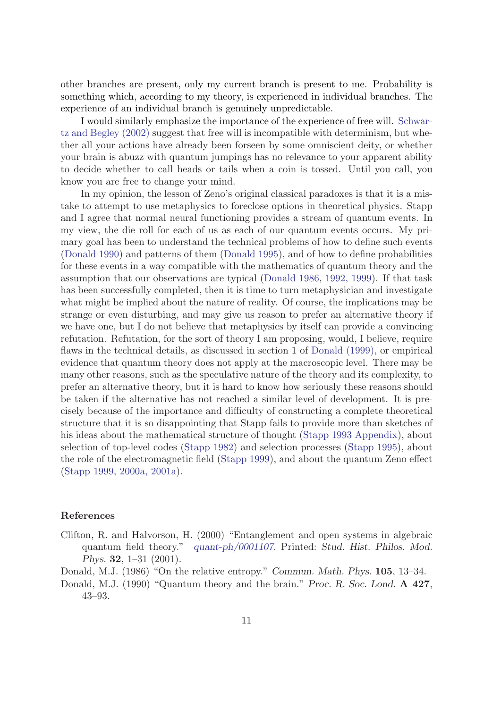other branches are present, only my current branch is present to me. Probability is something which, according to my theory, is experienced in individual branches. The experience of an individual branch is genuinely unpredictable.

I would similarly emphasize the importance of the experience of free will. [Schwar](#page-11-0)[tz and Begley \(2002\)](#page-11-0) suggest that free will is incompatible with determinism, but whether all your actions have already been forseen by some omniscient deity, or whether your brain is abuzz with quantum jumpings has no relevance to your apparent ability to decide whether to call heads or tails when a coin is tossed. Until you call, you know you are free to change your mind.

In my opinion, the lesson of Zeno's original classical paradoxes is that it is a mistake to attempt to use metaphysics to foreclose options in theoretical physics. Stapp and I agree that normal neural functioning provides a stream of quantum events. In my view, the die roll for each of us as each of our quantum events occurs. My primary goal has been to understand the technical problems of how to define such events ([Donald 1990\)](#page-10-0) and patterns of them ([Donald 1995\)](#page-11-1), and of how to define probabilities for these events in a way compatible with the mathematics of quantum theory and the assumption that our observations are typical ([Donald 1986](#page-10-0), [1992, 1999\)](#page-11-1). If that task has been successfully completed, then it is time to turn metaphysician and investigate what might be implied about the nature of reality. Of course, the implications may be strange or even disturbing, and may give us reason to prefer an alternative theory if we have one, but I do not believe that metaphysics by itself can provide a convincing refutation. Refutation, for the sort of theory I am proposing, would, I believe, require flaws in the technical details, as discussed in section 1 of [Donald \(1999\),](#page-11-1) or empirical evidence that quantum theory does not apply at the macroscopic level. There may be many other reasons, such as the speculative nature of the theory and its complexity, to prefer an alternative theory, but it is hard to know how seriously these reasons should be taken if the alternative has not reached a similar level of development. It is precisely because of the importance and difficulty of constructing a complete theoretical structure that it is so disappointing that Stapp fails to provide more than sketches of his ideas about the mathematical structure of thought [\(Stapp 1993 Appendix](#page-12-0)), about selection of top-level codes ([Stapp 1982](#page-12-0)) and selection processes ([Stapp 1995](#page-12-0)), about the role of the electromagnetic field ([Stapp 1999](#page-12-0)), and about the quantum Zeno effect ([Stapp 1999, 2000a,](#page-12-0) [2001a](#page-12-1)).

### <span id="page-10-0"></span>References

- Clifton, R. and Halvorson, H. (2000) "Entanglement and open systems in algebraic quantum field theory." [quant-ph/0001107](http://arXiv.org/abs/quant-ph/0001107). Printed: Stud. Hist. Philos. Mod. Phys. 32, 1–31 (2001).
- Donald, M.J. (1986) "On the relative entropy." Commun. Math. Phys. 105, 13–34.
- Donald, M.J. (1990) "Quantum theory and the brain." Proc. R. Soc. Lond. A 427, 43–93.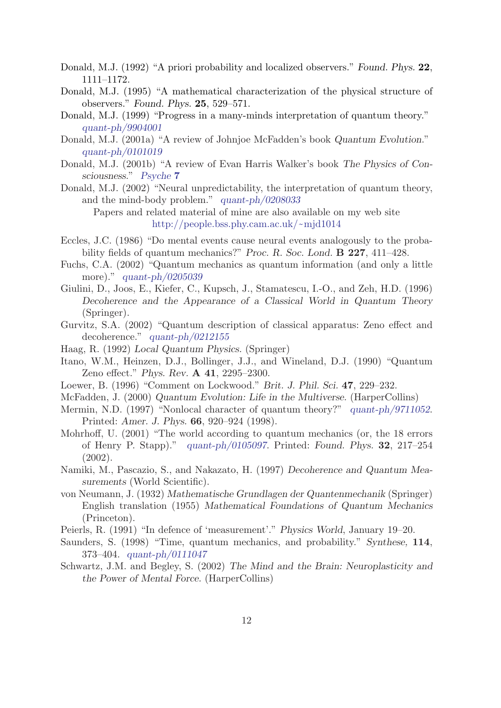<span id="page-11-1"></span>Donald, M.J. (1992) "A priori probability and localized observers." Found. Phys. 22, 1111–1172.

- Donald, M.J. (1995) "A mathematical characterization of the physical structure of observers." Found. Phys. 25, 529–571.
- Donald, M.J. (1999) "Progress in a many-minds interpretation of quantum theory." [quant-ph/9904001](http://arXiv.org/abs/quant-ph/9904001)
- Donald, M.J. (2001a) "A review of Johnjoe McFadden's book Quantum Evolution." [quant-ph/0101019](http://arXiv.org/abs/quant-ph/0101019)
- Donald, M.J. (2001b) "A review of Evan Harris Walker's book The Physics of Consciousness." [Psyche](http://www.theassc.org/vol_7_2001) 7
- Donald, M.J. (2002) "Neural unpredictability, the interpretation of quantum theory, and the mind-body problem." [quant-ph/0208033](http://arXiv.org/abs/quant-ph/0208033)

Papers and related material of mine are also available on my web site [http://people.bss.phy.cam.ac.uk/](http://people.bss.phy.cam.ac.uk/~mjd1014)~mjd1014

- Eccles, J.C. (1986) "Do mental events cause neural events analogously to the probability fields of quantum mechanics?" Proc. R. Soc. Lond. **B 227**, 411–428.
- Fuchs, C.A. (2002) "Quantum mechanics as quantum information (and only a little more)." [quant-ph/0205039](http://arXiv.org/abs/quant-ph/0205039)
- <span id="page-11-2"></span>Giulini, D., Joos, E., Kiefer, C., Kupsch, J., Stamatescu, I.-O., and Zeh, H.D. (1996) Decoherence and the Appearance of a Classical World in Quantum Theory (Springer).
- Gurvitz, S.A. (2002) "Quantum description of classical apparatus: Zeno effect and decoherence." [quant-ph/0212155](http://arXiv.org/abs/quant-ph/0212155)
- Haag, R. (1992) Local Quantum Physics. (Springer)
- Itano, W.M., Heinzen, D.J., Bollinger, J.J., and Wineland, D.J. (1990) "Quantum Zeno effect." Phys. Rev. A 41, 2295–2300.
- Loewer, B. (1996) "Comment on Lockwood." Brit. J. Phil. Sci. 47, 229–232.
- McFadden, J. (2000) Quantum Evolution: Life in the Multiverse. (HarperCollins)
- Mermin, N.D. (1997) "Nonlocal character of quantum theory?" [quant-ph/9711052](http://arXiv.org/abs/quant-ph/9711052). Printed: Amer. J. Phys. 66, 920–924 (1998).
- Mohrhoff, U. (2001) "The world according to quantum mechanics (or, the 18 errors of Henry P. Stapp)." [quant-ph/0105097](http://arXiv.org/abs/quant-ph/0105097). Printed: Found. Phys. 32, 217–254 (2002).
- <span id="page-11-0"></span>Namiki, M., Pascazio, S., and Nakazato, H. (1997) Decoherence and Quantum Measurements (World Scientific).
- von Neumann, J. (1932) Mathematische Grundlagen der Quantenmechanik (Springer) English translation (1955) Mathematical Foundations of Quantum Mechanics (Princeton).
- Peierls, R. (1991) "In defence of 'measurement'." Physics World, January 19–20.
- Saunders, S. (1998) "Time, quantum mechanics, and probability." Synthese, 114, 373–404. [quant-ph/0111047](http://arXiv.org/abs/quant-ph/0111047)
- Schwartz, J.M. and Begley, S. (2002) The Mind and the Brain: Neuroplasticity and the Power of Mental Force. (HarperCollins)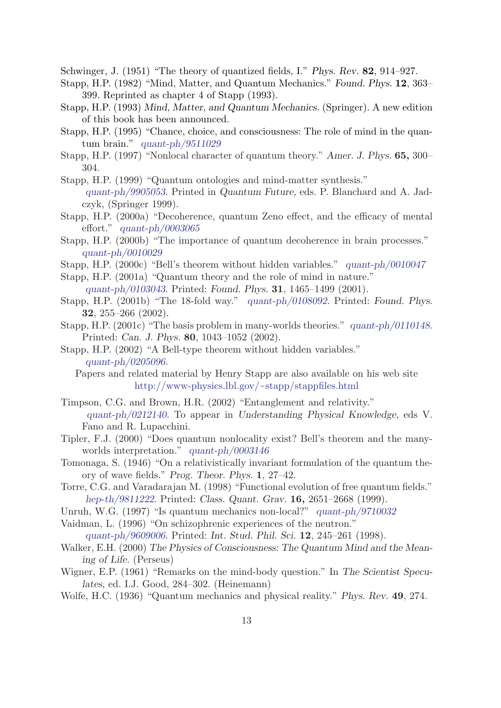<span id="page-12-0"></span>Schwinger, J. (1951) "The theory of quantized fields, I." Phys. Rev. 82, 914–927.

- Stapp, H.P. (1982) "Mind, Matter, and Quantum Mechanics." Found. Phys. 12, 363– 399. Reprinted as chapter 4 of Stapp (1993).
- Stapp, H.P. (1993) Mind, Matter, and Quantum Mechanics. (Springer). A new edition of this book has been announced.
- Stapp, H.P. (1995) "Chance, choice, and consciousness: The role of mind in the quantum brain." [quant-ph/9511029](http://arXiv.org/abs/quant-ph/9511029)
- Stapp, H.P. (1997) "Nonlocal character of quantum theory." Amer. J. Phys. 65, 300– 304.
- Stapp, H.P. (1999) "Quantum ontologies and mind-matter synthesis." [quant-ph/9905053](http://arXiv.org/abs/quant-ph/9905053). Printed in Quantum Future, eds. P. Blanchard and A. Jadczyk, (Springer 1999).
- Stapp, H.P. (2000a) "Decoherence, quantum Zeno effect, and the efficacy of mental effort." [quant-ph/0003065](http://arXiv.org/abs/quant-ph/0003065)
- Stapp, H.P. (2000b) "The importance of quantum decoherence in brain processes." [quant-ph/0010029](http://arXiv.org/abs/quant-ph/0010029)
- Stapp, H.P. (2000c) "Bell's theorem without hidden variables." [quant-ph/0010047](http://arXiv.org/abs/quant-ph/0010047)
- <span id="page-12-1"></span>Stapp, H.P. (2001a) "Quantum theory and the role of mind in nature." [quant-ph/0103043](http://arXiv.org/abs/quant-ph/0103043). Printed: Found. Phys. 31, 1465–1499 (2001).
- Stapp, H.P. (2001b) "The 18-fold way." [quant-ph/0108092](http://arXiv.org/abs/quant-ph/0108092). Printed: Found. Phys. 32, 255–266 (2002).
- Stapp, H.P. (2001c) "The basis problem in many-worlds theories." [quant-ph/0110148](http://arXiv.org/abs/quant-ph/0110148). Printed: Can. J. Phys. 80, 1043–1052 (2002).
- Stapp, H.P. (2002) "A Bell-type theorem without hidden variables." [quant-ph/0205096](http://arXiv.org/abs/quant-ph/0205096).
	- Papers and related material by Henry Stapp are also available on his web site [http://www-physics.lbl.gov/](http://www-physics.lbl.gov/~stapp/stappfiles.html)~stapp/stappfiles.html
- Timpson, C.G. and Brown, H.R. (2002) "Entanglement and relativity." [quant-ph/0212140](http://arXiv.org/abs/quant-ph/0212140). To appear in Understanding Physical Knowledge, eds V. Fano and R. Lupacchini.
- Tipler, F.J. (2000) "Does quantum nonlocality exist? Bell's theorem and the manyworlds interpretation." [quant-ph/0003146](http://arXiv.org/abs/quant-ph/0003146)
- <span id="page-12-2"></span>Tomonaga, S. (1946) "On a relativistically invariant formulation of the quantum theory of wave fields." Prog. Theor. Phys. 1, 27–42.
- Torre, C.G. and Varadarajan M. (1998) "Functional evolution of free quantum fields." [hep-th/9811222](http://arXiv.org/abs/hep-th/9811222). Printed: Class. Quant. Grav. 16, 2651–2668 (1999).
- Unruh, W.G. (1997) "Is quantum mechanics non-local?" [quant-ph/9710032](http://arXiv.org/abs/quant-ph/9710032)
- Vaidman, L. (1996) "On schizophrenic experiences of the neutron."

[quant-ph/9609006](http://arXiv.org/abs/quant-ph/9609006). Printed: Int. Stud. Phil. Sci. 12, 245–261 (1998).

- Walker, E.H. (2000) The Physics of Consciousness: The Quantum Mind and the Meaning of Life. (Perseus)
- Wigner, E.P. (1961) "Remarks on the mind-body question." In The Scientist Speculates, ed. I.J. Good, 284–302. (Heinemann)
- Wolfe, H.C. (1936) "Quantum mechanics and physical reality." Phys. Rev. 49, 274.